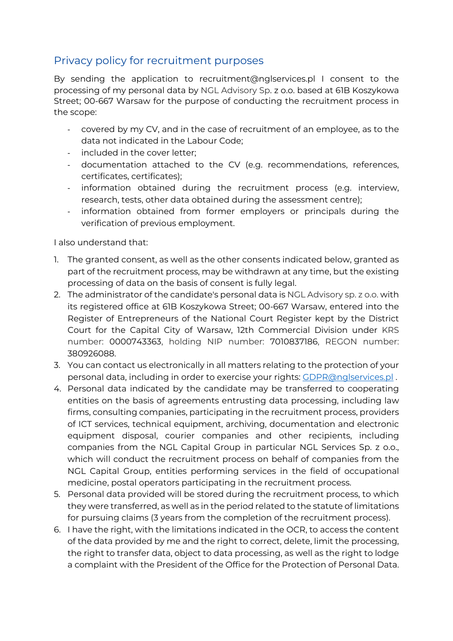## Privacy policy for recruitment purposes

By sending the application to recruitment@nglservices.pl I consent to the processing of my personal data by NGL Advisory Sp. z o.o. based at 61B Koszykowa Street; 00-667 Warsaw for the purpose of conducting the recruitment process in the scope:

- covered by my CV, and in the case of recruitment of an employee, as to the data not indicated in the Labour Code;
- included in the cover letter;
- documentation attached to the CV (e.g. recommendations, references, certificates, certificates);
- information obtained during the recruitment process (e.g. interview, research, tests, other data obtained during the assessment centre);
- information obtained from former employers or principals during the verification of previous employment.

I also understand that:

- 1. The granted consent, as well as the other consents indicated below, granted as part of the recruitment process, may be withdrawn at any time, but the existing processing of data on the basis of consent is fully legal.
- 2. The administrator of the candidate's personal data is NGL Advisory sp. z o.o. with its registered office at 61B Koszykowa Street; 00-667 Warsaw, entered into the Register of Entrepreneurs of the National Court Register kept by the District Court for the Capital City of Warsaw, 12th Commercial Division under KRS number: 0000743363, holding NIP number: 7010837186, REGON number: 380926088.
- 3. You can contact us electronically in all matters relating to the protection of your personal data, including in order to exercise your rights: GDPR@nglservices.pl .
- 4. Personal data indicated by the candidate may be transferred to cooperating entities on the basis of agreements entrusting data processing, including law firms, consulting companies, participating in the recruitment process, providers of ICT services, technical equipment, archiving, documentation and electronic equipment disposal, courier companies and other recipients, including companies from the NGL Capital Group in particular NGL Services Sp. z o.o., which will conduct the recruitment process on behalf of companies from the NGL Capital Group, entities performing services in the field of occupational medicine, postal operators participating in the recruitment process.
- 5. Personal data provided will be stored during the recruitment process, to which they were transferred, as well as in the period related to the statute of limitations for pursuing claims (3 years from the completion of the recruitment process).
- 6. I have the right, with the limitations indicated in the OCR, to access the content of the data provided by me and the right to correct, delete, limit the processing, the right to transfer data, object to data processing, as well as the right to lodge a complaint with the President of the Office for the Protection of Personal Data.